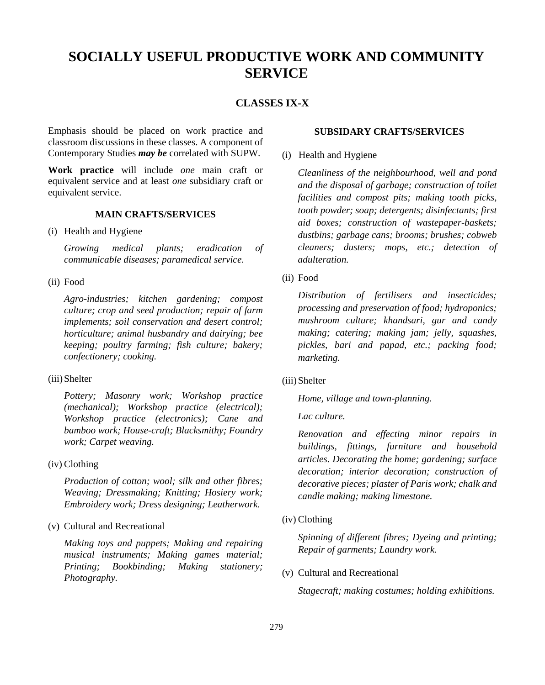# **SOCIALLY USEFUL PRODUCTIVE WORK AND COMMUNITY SERVICE**

# **CLASSES IX-X**

Emphasis should be placed on work practice and classroom discussions in these classes. A component of Contemporary Studies *may be* correlated with SUPW.

**Work practice** will include *one* main craft or equivalent service and at least *one* subsidiary craft or equivalent service.

# **MAIN CRAFTS/SERVICES**

(i) Health and Hygiene

*Growing medical plants; eradication of communicable diseases; paramedical service.*

(ii) Food

*Agro-industries; kitchen gardening; compost culture; crop and seed production; repair of farm implements; soil conservation and desert control; horticulture; animal husbandry and dairying; bee keeping; poultry farming; fish culture; bakery; confectionery; cooking.*

(iii)Shelter

*Pottery; Masonry work; Workshop practice (mechanical); Workshop practice (electrical); Workshop practice (electronics); Cane and bamboo work; House-craft; Blacksmithy; Foundry work; Carpet weaving.*

(iv) Clothing

*Production of cotton; wool; silk and other fibres; Weaving; Dressmaking; Knitting; Hosiery work; Embroidery work; Dress designing; Leatherwork.*

(v) Cultural and Recreational

*Making toys and puppets; Making and repairing musical instruments; Making games material; Printing; Bookbinding; Making stationery; Photography.*

# **SUBSIDARY CRAFTS/SERVICES**

(i) Health and Hygiene

*Cleanliness of the neighbourhood, well and pond and the disposal of garbage; construction of toilet facilities and compost pits; making tooth picks, tooth powder; soap; detergents; disinfectants; first aid boxes; construction of wastepaper-baskets; dustbins; garbage cans; brooms; brushes; cobweb cleaners; dusters; mops, etc.; detection of adulteration.*

(ii) Food

*Distribution of fertilisers and insecticides; processing and preservation of food; hydroponics; mushroom culture; khandsari, gur and candy making; catering; making jam; jelly, squashes, pickles, bari and papad, etc.; packing food; marketing.*

(iii)Shelter

*Home, village and town-planning.*

*Lac culture.*

*Renovation and effecting minor repairs in buildings, fittings, furniture and household articles. Decorating the home; gardening; surface decoration; interior decoration; construction of decorative pieces; plaster of Paris work; chalk and candle making; making limestone.*

(iv) Clothing

*Spinning of different fibres; Dyeing and printing; Repair of garments; Laundry work.*

(v) Cultural and Recreational

*Stagecraft; making costumes; holding exhibitions.*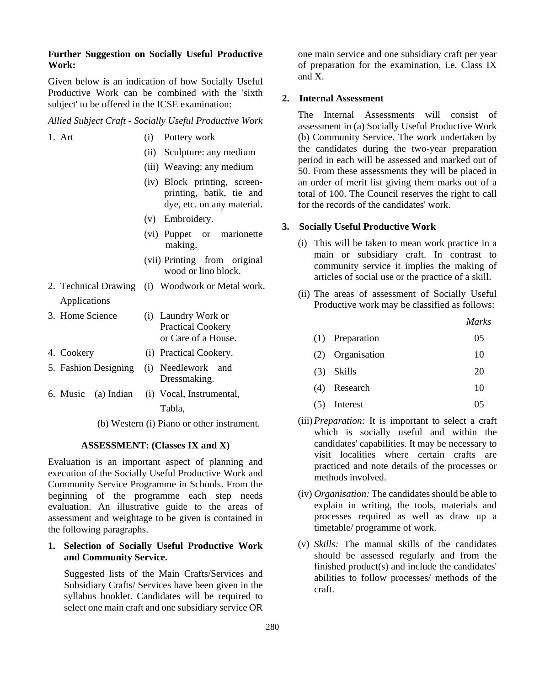# **Further Suggestion on Socially Useful Productive Work:**

Given below is an indication of how Socially Useful Productive Work can be combined with the 'sixth subject' to be offered in the ICSE examination:

#### *Allied Subject Craft - Socially Useful Productive Work*

| 1. Art | (i) Pottery work           |
|--------|----------------------------|
|        | (ii) Sculpture: any medium |

- (iii) Weaving: any medium
- (iv) Block printing, screen-
- printing, batik, tie and dye, etc. on any material.
- (v) Embroidery.
- (vi) Puppet or marionette making.
- (vii) Printing from original wood or lino block.
- 2. Technical Drawing (i) Woodwork or Metal work. Applications
- 3. Home Science (i) Laundry Work or Practical Cookery or Care of a House.
- 4. Cookery (i) Practical Cookery.
- 5. Fashion Designing (i) Needlework and
- Dressmaking. 6. Music (a) Indian (i) Vocal, Instrumental,

Tabla,

(b) Western (i) Piano or other instrument.

#### **ASSESSMENT: (Classes IX and X)**

Evaluation is an important aspect of planning and execution of the Socially Useful Productive Work and Community Service Programme in Schools. From the beginning of the programme each step needs evaluation. An illustrative guide to the areas of assessment and weightage to be given is contained in the following paragraphs.

# **1. Selection of Socially Useful Productive Work and Community Service.**

Suggested lists of the Main Crafts/Services and Subsidiary Crafts/ Services have been given in the syllabus booklet. Candidates will be required to select one main craft and one subsidiary service OR one main service and one subsidiary craft per year of preparation for the examination, i.e. Class IX and X.

#### **2. Internal Assessment**

The Internal Assessments will consist of assessment in (a) Socially Useful Productive Work (b) Community Service. The work undertaken by the candidates during the two-year preparation period in each will be assessed and marked out of 50. From these assessments they will be placed in an order of merit list giving them marks out of a total of 100. The Council reserves the right to call for the records of the candidates' work.

# **3. Socially Useful Productive Work**

- (i) This will be taken to mean work practice in a main or subsidiary craft. In contrast to community service it implies the making of articles of social use or the practice of a skill.
- (ii) The areas of assessment of Socially Useful Productive work may be classified as follows:

*Marks*

|  | (1) Preparation | 05 |
|--|-----------------|----|
|--|-----------------|----|

- (2) Organisation 10
- (3) Skills 20
- (4) Research 10
- $(5)$  Interest  $05$
- (iii)*Preparation:* It is important to select a craft which is socially useful and within the candidates' capabilities. It may be necessary to visit localities where certain crafts are practiced and note details of the processes or methods involved.
- (iv) *Organisation:* The candidates should be able to explain in writing, the tools, materials and processes required as well as draw up a timetable/ programme of work.
- (v) *Skills:* The manual skills of the candidates should be assessed regularly and from the finished product(s) and include the candidates' abilities to follow processes/ methods of the craft.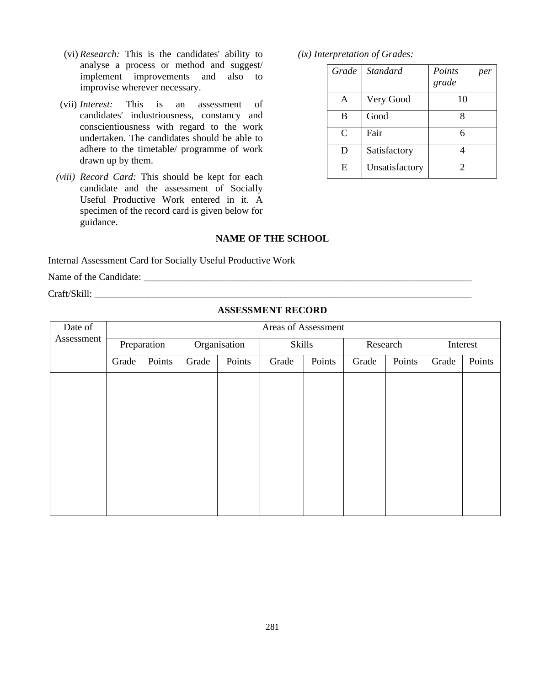- (vi) *Research:* This is the candidates' ability to analyse a process or method and suggest/ implement improvements and also to improvise wherever necessary.
- (vii) *Interest:* This is an assessment of candidates' industriousness, constancy and conscientiousness with regard to the work undertaken. The candidates should be able to adhere to the timetable/ programme of work drawn up by them.
- *(viii) Record Card:* This should be kept for each candidate and the assessment of Socially Useful Productive Work entered in it. A specimen of the record card is given below for guidance.

*(ix) Interpretation of Grades:*

|   | Grade Standard | Points<br>per<br>grade |
|---|----------------|------------------------|
| A | Very Good      | 10                     |
| B | Good           |                        |
| C | Fair           | 6                      |
| D | Satisfactory   |                        |
| E | Unsatisfactory | 2                      |

#### **NAME OF THE SCHOOL**

Internal Assessment Card for Socially Useful Productive Work

Name of the Candidate: \_\_\_\_\_\_\_\_\_\_\_\_\_\_\_\_\_\_\_\_\_\_\_\_\_\_\_\_\_\_\_\_\_\_\_\_\_\_\_\_\_\_\_\_\_\_\_\_\_\_\_\_\_\_\_\_\_\_\_\_\_\_\_\_\_\_\_

Craft/Skill:

#### **ASSESSMENT RECORD**

| Date of    | Areas of Assessment |        |              |        |        |        |          |        |          |        |
|------------|---------------------|--------|--------------|--------|--------|--------|----------|--------|----------|--------|
| Assessment | Preparation         |        | Organisation |        | Skills |        | Research |        | Interest |        |
|            | Grade               | Points | Grade        | Points | Grade  | Points | Grade    | Points | Grade    | Points |
|            |                     |        |              |        |        |        |          |        |          |        |
|            |                     |        |              |        |        |        |          |        |          |        |
|            |                     |        |              |        |        |        |          |        |          |        |
|            |                     |        |              |        |        |        |          |        |          |        |
|            |                     |        |              |        |        |        |          |        |          |        |
|            |                     |        |              |        |        |        |          |        |          |        |
|            |                     |        |              |        |        |        |          |        |          |        |
|            |                     |        |              |        |        |        |          |        |          |        |
|            |                     |        |              |        |        |        |          |        |          |        |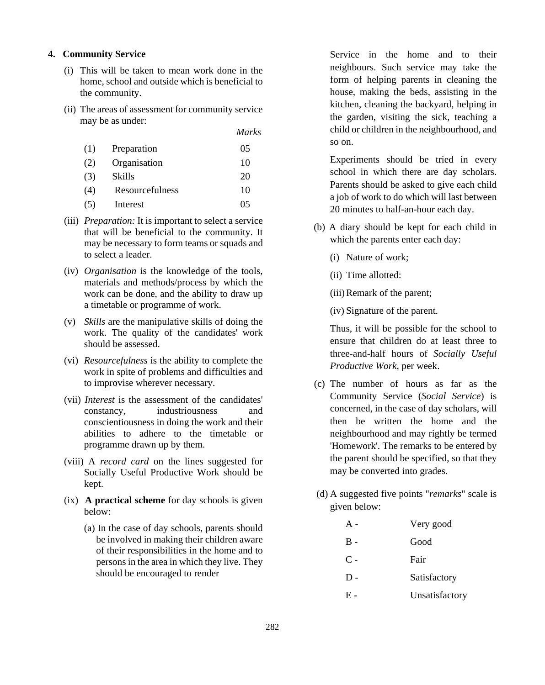#### **4. Community Service**

- (i) This will be taken to mean work done in the home, school and outside which is beneficial to the community.
- (ii) The areas of assessment for community service may be as under:

|     |                 | <i>Marks</i> |
|-----|-----------------|--------------|
| (1) | Preparation     | 05           |
| (2) | Organisation    | 10           |
| (3) | Skills          | 20           |
| (4) | Resourcefulness | 10           |
| (5) | Interest        | 05           |

- (iii) *Preparation:* It is important to select a service that will be beneficial to the community. It may be necessary to form teams or squads and to select a leader.
- (iv) *Organisation* is the knowledge of the tools, materials and methods/process by which the work can be done, and the ability to draw up a timetable or programme of work.
- (v) *Skills* are the manipulative skills of doing the work. The quality of the candidates' work should be assessed.
- (vi) *Resourcefulness* is the ability to complete the work in spite of problems and difficulties and to improvise wherever necessary.
- (vii) *Interest* is the assessment of the candidates' constancy, industriousness and conscientiousness in doing the work and their abilities to adhere to the timetable or programme drawn up by them.
- (viii) A *record card* on the lines suggested for Socially Useful Productive Work should be kept.
- (ix) **A practical scheme** for day schools is given below:
	- (a) In the case of day schools, parents should be involved in making their children aware of their responsibilities in the home and to persons in the area in which they live. They should be encouraged to render

Service in the home and to their neighbours. Such service may take the form of helping parents in cleaning the house, making the beds, assisting in the kitchen, cleaning the backyard, helping in the garden, visiting the sick, teaching a child or children in the neighbourhood, and so on.

Experiments should be tried in every school in which there are day scholars. Parents should be asked to give each child a job of work to do which will last between 20 minutes to half-an-hour each day.

- (b) A diary should be kept for each child in which the parents enter each day:
	- (i) Nature of work;
	- (ii) Time allotted:
	- (iii)Remark of the parent;
	- (iv) Signature of the parent.

Thus, it will be possible for the school to ensure that children do at least three to three-and-half hours of *Socially Useful Productive Work*, per week.

- (c) The number of hours as far as the Community Service (*Social Service*) is concerned, in the case of day scholars, will then be written the home and the neighbourhood and may rightly be termed 'Homework'. The remarks to be entered by the parent should be specified, so that they may be converted into grades.
- (d) A suggested five points "*remarks*" scale is given below:

| $A -$ | Very good      |
|-------|----------------|
| $B -$ | Good           |
| $C -$ | Fair           |
| $D -$ | Satisfactory   |
| Е -   | Unsatisfactory |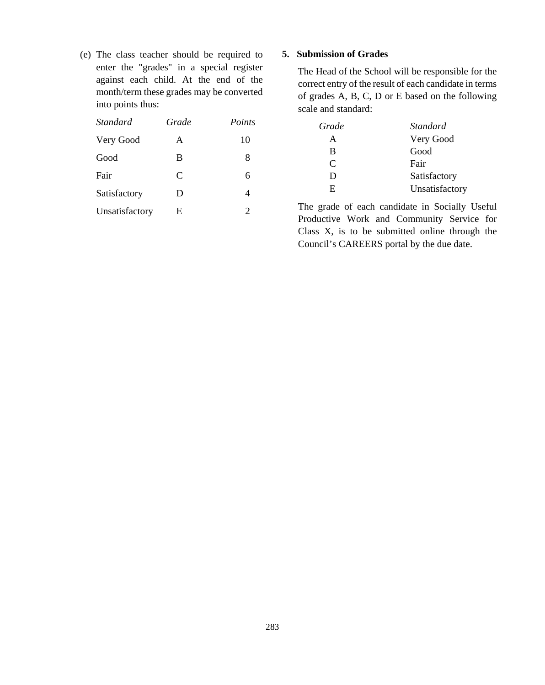(e) The class teacher should be required to enter the "grades" in a special register against each child. At the end of the month/term these grades may be converted into points thus:

| <i>Standard</i> | Grade | Points |
|-----------------|-------|--------|
| Very Good       | A     | 10     |
| Good            | B     | 8      |
| Fair            | C     | 6      |
| Satisfactory    | D     | 4      |
| Unsatisfactory  | E     | 2      |

# **5. Submission of Grades**

The Head of the School will be responsible for the correct entry of the result of each candidate in terms of grades A, B, C, D or E based on the following scale and standard:

| Grade | Standard       |
|-------|----------------|
|       | Very Good      |
| B     | Good           |
| C     | Fair           |
| Ð     | Satisfactory   |
| E.    | Unsatisfactory |

The grade of each candidate in Socially Useful Productive Work and Community Service for Class X, is to be submitted online through the Council's CAREERS portal by the due date.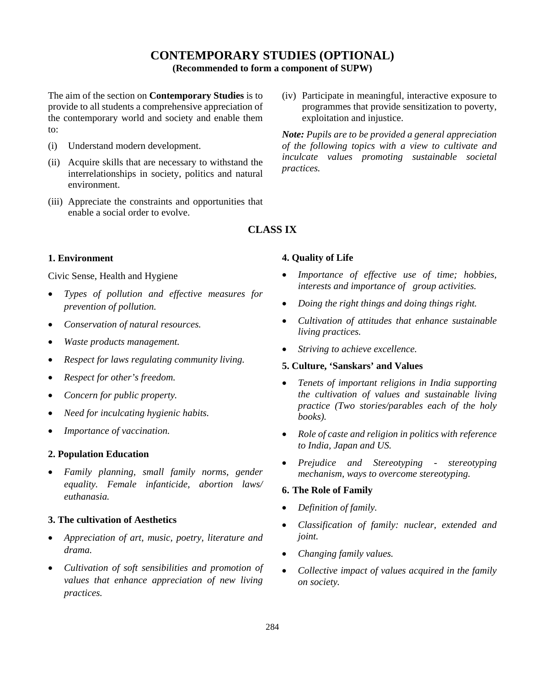# **CONTEMPORARY STUDIES (OPTIONAL)**

**(Recommended to form a component of SUPW)**

The aim of the section on **Contemporary Studies** is to provide to all students a comprehensive appreciation of the contemporary world and society and enable them to:

- (i) Understand modern development.
- (ii) Acquire skills that are necessary to withstand the interrelationships in society, politics and natural environment.
- (iii) Appreciate the constraints and opportunities that enable a social order to evolve.

# **1. Environment**

Civic Sense, Health and Hygiene

- *Types of pollution and effective measures for prevention of pollution.*
- *Conservation of natural resources.*
- *Waste products management.*
- *Respect for laws regulating community living.*
- *Respect for other's freedom.*
- *Concern for public property.*
- *Need for inculcating hygienic habits.*
- *Importance of vaccination.*

#### **2. Population Education**

• *Family planning, small family norms, gender equality. Female infanticide, abortion laws/ euthanasia.*

# **3. The cultivation of Aesthetics**

- *Appreciation of art, music, poetry, literature and drama.*
- *Cultivation of soft sensibilities and promotion of values that enhance appreciation of new living practices.*

(iv) Participate in meaningful, interactive exposure to programmes that provide sensitization to poverty, exploitation and injustice.

*Note: Pupils are to be provided a general appreciation of the following topics with a view to cultivate and inculcate values promoting sustainable societal practices.* 

# **4. Quality of Life**

**CLASS IX**

# • *Importance of effective use of time; hobbies, interests and importance of group activities.*

- *Doing the right things and doing things right.*
- *Cultivation of attitudes that enhance sustainable living practices.*
- *Striving to achieve excellence.*

# **5. Culture, 'Sanskars' and Values**

- *Tenets of important religions in India supporting the cultivation of values and sustainable living practice (Two stories/parables each of the holy books).*
- *Role of caste and religion in politics with reference to India, Japan and US.*
- *Prejudice and Stereotyping - stereotyping mechanism, ways to overcome stereotyping.*

# **6. The Role of Family**

- *Definition of family.*
- *Classification of family: nuclear, extended and joint.*
- *Changing family values.*
- *Collective impact of values acquired in the family on society.*